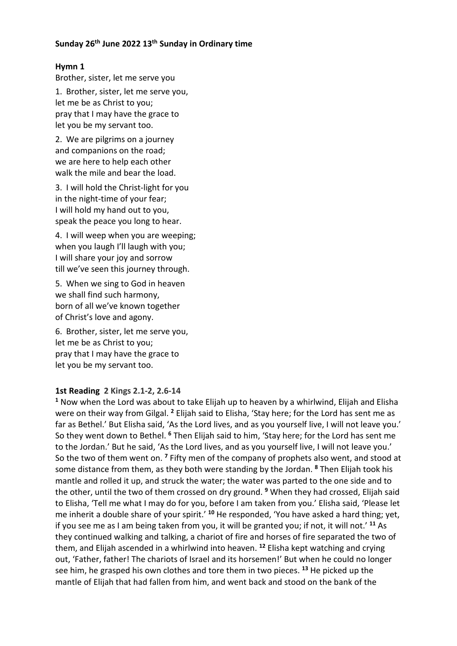### **Sunday 26th June 2022 13th Sunday in Ordinary time**

## **Hymn 1**

Brother, sister, let me serve you

1. Brother, sister, let me serve you, let me be as Christ to you; pray that I may have the grace to let you be my servant too.

2. We are pilgrims on a journey and companions on the road; we are here to help each other walk the mile and bear the load.

3. I will hold the Christ-light for you in the night-time of your fear; I will hold my hand out to you, speak the peace you long to hear.

4. I will weep when you are weeping; when you laugh I'll laugh with you; I will share your joy and sorrow till we've seen this journey through.

5. When we sing to God in heaven we shall find such harmony, born of all we've known together of Christ's love and agony.

6. Brother, sister, let me serve you, let me be as Christ to you; pray that I may have the grace to let you be my servant too.

## **1st Reading 2 Kings 2.1-2, 2.6-14**

**<sup>1</sup>** Now when the Lord was about to take Elijah up to heaven by a whirlwind, Elijah and Elisha were on their way from Gilgal. **<sup>2</sup>** Elijah said to Elisha, 'Stay here; for the Lord has sent me as far as Bethel.' But Elisha said, 'As the Lord lives, and as you yourself live, I will not leave you.' So they went down to Bethel. **<sup>6</sup>** Then Elijah said to him, 'Stay here; for the Lord has sent me to the Jordan.' But he said, 'As the Lord lives, and as you yourself live, I will not leave you.' So the two of them went on. **<sup>7</sup>** Fifty men of the company of prophets also went, and stood at some distance from them, as they both were standing by the Jordan. **<sup>8</sup>** Then Elijah took his mantle and rolled it up, and struck the water; the water was parted to the one side and to the other, until the two of them crossed on dry ground. **<sup>9</sup>** When they had crossed, Elijah said to Elisha, 'Tell me what I may do for you, before I am taken from you.' Elisha said, 'Please let me inherit a double share of your spirit.' **<sup>10</sup>** He responded, 'You have asked a hard thing; yet, if you see me as I am being taken from you, it will be granted you; if not, it will not.' **<sup>11</sup>** As they continued walking and talking, a chariot of fire and horses of fire separated the two of them, and Elijah ascended in a whirlwind into heaven. **<sup>12</sup>** Elisha kept watching and crying out, 'Father, father! The chariots of Israel and its horsemen!' But when he could no longer see him, he grasped his own clothes and tore them in two pieces. **<sup>13</sup>** He picked up the mantle of Elijah that had fallen from him, and went back and stood on the bank of the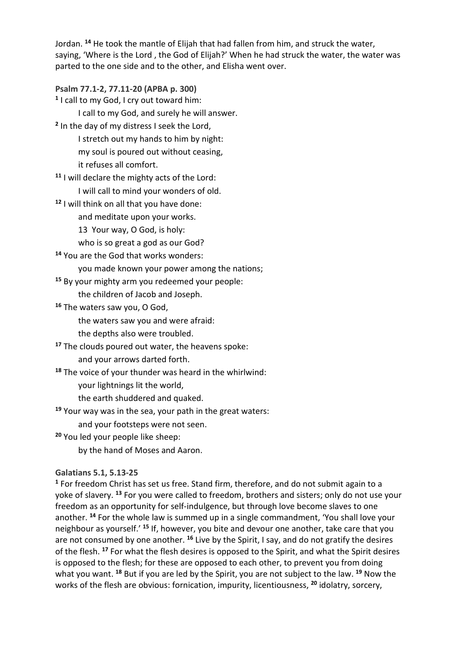Jordan. **<sup>14</sup>** He took the mantle of Elijah that had fallen from him, and struck the water, saying, 'Where is the Lord , the God of Elijah?' When he had struck the water, the water was parted to the one side and to the other, and Elisha went over.

**Psalm 77.1-2, 77.11-20 (APBA p. 300) <sup>1</sup>** I call to my God, I cry out toward him: I call to my God, and surely he will answer. **<sup>2</sup>** In the day of my distress I seek the Lord, I stretch out my hands to him by night: my soul is poured out without ceasing, it refuses all comfort. **<sup>11</sup>** I will declare the mighty acts of the Lord: I will call to mind your wonders of old.

**<sup>12</sup>** I will think on all that you have done:

and meditate upon your works.

13 Your way, O God, is holy:

who is so great a god as our God?

**<sup>14</sup>** You are the God that works wonders:

you made known your power among the nations;

**<sup>15</sup>** By your mighty arm you redeemed your people:

the children of Jacob and Joseph.

**<sup>16</sup>** The waters saw you, O God,

the waters saw you and were afraid:

the depths also were troubled.

**<sup>17</sup>** The clouds poured out water, the heavens spoke:

and your arrows darted forth.

**<sup>18</sup>** The voice of your thunder was heard in the whirlwind:

your lightnings lit the world,

the earth shuddered and quaked.

**<sup>19</sup>** Your way was in the sea, your path in the great waters:

and your footsteps were not seen.

**<sup>20</sup>** You led your people like sheep:

by the hand of Moses and Aaron.

#### **Galatians 5.1, 5.13-25**

**<sup>1</sup>** For freedom Christ has set us free. Stand firm, therefore, and do not submit again to a yoke of slavery. **<sup>13</sup>** For you were called to freedom, brothers and sisters; only do not use your freedom as an opportunity for self-indulgence, but through love become slaves to one another. **<sup>14</sup>** For the whole law is summed up in a single commandment, 'You shall love your neighbour as yourself.' **<sup>15</sup>** If, however, you bite and devour one another, take care that you are not consumed by one another. **<sup>16</sup>** Live by the Spirit, I say, and do not gratify the desires of the flesh. **<sup>17</sup>** For what the flesh desires is opposed to the Spirit, and what the Spirit desires is opposed to the flesh; for these are opposed to each other, to prevent you from doing what you want. **<sup>18</sup>** But if you are led by the Spirit, you are not subject to the law. **<sup>19</sup>** Now the works of the flesh are obvious: fornication, impurity, licentiousness, **<sup>20</sup>** idolatry, sorcery,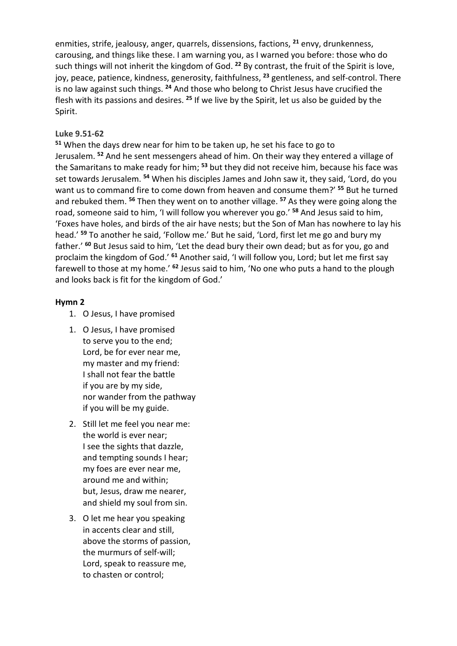enmities, strife, jealousy, anger, quarrels, dissensions, factions, **<sup>21</sup>** envy, drunkenness, carousing, and things like these. I am warning you, as I warned you before: those who do such things will not inherit the kingdom of God. **<sup>22</sup>** By contrast, the fruit of the Spirit is love, joy, peace, patience, kindness, generosity, faithfulness, **<sup>23</sup>** gentleness, and self-control. There is no law against such things. **<sup>24</sup>** And those who belong to Christ Jesus have crucified the flesh with its passions and desires. **<sup>25</sup>** If we live by the Spirit, let us also be guided by the Spirit.

# **Luke 9.51-62**

**<sup>51</sup>** When the days drew near for him to be taken up, he set his face to go to Jerusalem. **<sup>52</sup>** And he sent messengers ahead of him. On their way they entered a village of the Samaritans to make ready for him; **<sup>53</sup>** but they did not receive him, because his face was set towards Jerusalem. **<sup>54</sup>** When his disciples James and John saw it, they said, 'Lord, do you want us to command fire to come down from heaven and consume them?' **<sup>55</sup>** But he turned and rebuked them. **<sup>56</sup>** Then they went on to another village. **<sup>57</sup>** As they were going along the road, someone said to him, 'I will follow you wherever you go.' **<sup>58</sup>** And Jesus said to him, 'Foxes have holes, and birds of the air have nests; but the Son of Man has nowhere to lay his head.' **<sup>59</sup>** To another he said, 'Follow me.' But he said, 'Lord, first let me go and bury my father.' **<sup>60</sup>** But Jesus said to him, 'Let the dead bury their own dead; but as for you, go and proclaim the kingdom of God.' **<sup>61</sup>** Another said, 'I will follow you, Lord; but let me first say farewell to those at my home.' **<sup>62</sup>** Jesus said to him, 'No one who puts a hand to the plough and looks back is fit for the kingdom of God.'

## **Hymn 2**

- 1. O Jesus, I have promised
- 1. O Jesus, I have promised to serve you to the end; Lord, be for ever near me, my master and my friend: I shall not fear the battle if you are by my side, nor wander from the pathway if you will be my guide.
- 2. Still let me feel you near me: the world is ever near; I see the sights that dazzle, and tempting sounds I hear; my foes are ever near me, around me and within; but, Jesus, draw me nearer, and shield my soul from sin.
- 3. O let me hear you speaking in accents clear and still, above the storms of passion, the murmurs of self-will; Lord, speak to reassure me, to chasten or control;